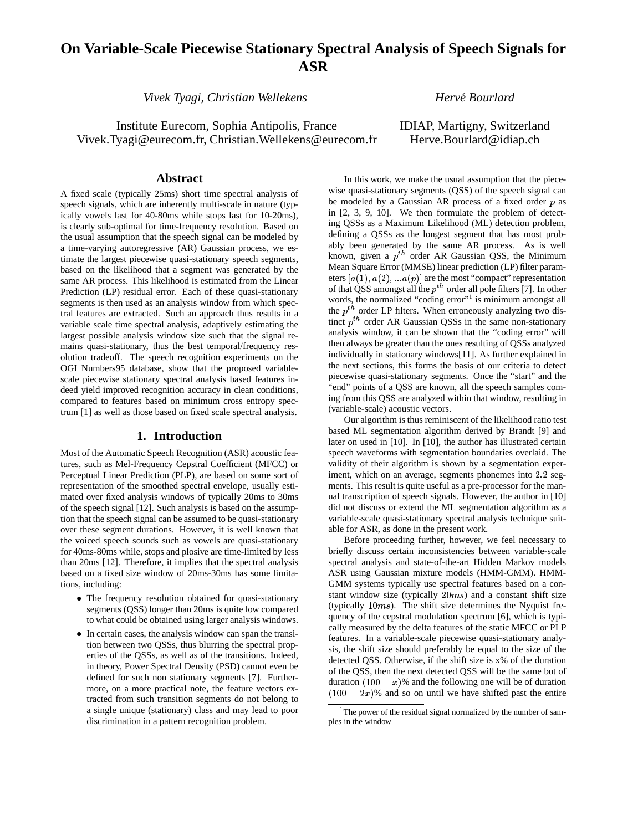# **On Variable-Scale Piecewise Stationary Spectral Analysis of Speech Signals for ASR**

*Vivek Tyagi, Christian Wellekens*

Institute Eurecom, Sophia Antipolis, France Vivek.Tyagi@eurecom.fr, Christian.Wellekens@eurecom.fr

## *Herve´ Bourlard*

## IDIAP, Martigny, Switzerland Herve.Bourlard@idiap.ch

### **Abstract**

A fixed scale (typically 25ms) short time spectral analysis of speech signals, which are inherently multi-scale in nature (typically vowels last for 40-80ms while stops last for 10-20ms), is clearly sub-optimal for time-frequency resolution. Based on the usual assumption that the speech signal can be modeled by a time-varying autoregressive (AR) Gaussian process, we estimate the largest piecewise quasi-stationary speech segments, based on the likelihood that a segment was generated by the same AR process. This likelihood is estimated from the Linear Prediction (LP) residual error. Each of these quasi-stationary segments is then used as an analysis window from which spectral features are extracted. Such an approach thus results in a variable scale time spectral analysis, adaptively estimating the largest possible analysis window size such that the signal remains quasi-stationary, thus the best temporal/frequency resolution tradeoff. The speech recognition experiments on the OGI Numbers95 database, show that the proposed variablescale piecewise stationary spectral analysis based features indeed yield improved recognition accuracy in clean conditions, compared to features based on minimum cross entropy spectrum [1] as well as those based on fixed scale spectral analysis.

#### **1. Introduction**

Most of the Automatic Speech Recognition (ASR) acoustic features, such as Mel-Frequency Cepstral Coefficient (MFCC) or Perceptual Linear Prediction (PLP), are based on some sort of representation of the smoothed spectral envelope, usually estimated over fixed analysis windows of typically 20ms to 30ms of the speech signal [12]. Such analysis is based on the assumption that the speech signal can be assumed to be quasi-stationary over these segment durations. However, it is well known that the voiced speech sounds such as vowels are quasi-stationary for 40ms-80ms while, stops and plosive are time-limited by less than 20ms [12]. Therefore, it implies that the spectral analysis based on a fixed size window of 20ms-30ms has some limitations, including:

- The frequency resolution obtained for quasi-stationary segments (QSS) longer than 20ms is quite low compared to what could be obtained using larger analysis windows.
- In certain cases, the analysis window can span the transition between two QSSs, thus blurring the spectral properties of the QSSs, as well as of the transitions. Indeed, in theory, Power Spectral Density (PSD) cannot even be defined for such non stationary segments [7]. Furthermore, on a more practical note, the feature vectors extracted from such transition segments do not belong to a single unique (stationary) class and may lead to poor discrimination in a pattern recognition problem.

In this work, we make the usual assumption that the piecewise quasi-stationary segments (QSS) of the speech signal can be modeled by a Gaussian AR process of a fixed order  $p$  as in [2, 3, 9, 10]. We then formulate the problem of detecting QSSs as a Maximum Likelihood (ML) detection problem, defining a QSSs as the longest segment that has most probably been generated by the same AR process. As is well known, given a  $p^{th}$  order AR Gaussian QSS, the Minimum Mean Square Error (MMSE) linear prediction (LP) filter parameters  $[a(1), a(2), ... a(p)]$  are the most "compact" representation of that QSS amongst all the  $p^{th}$  order all pole filters [7]. In other words, the normalized "coding error"<sup>1</sup> is minimum amongst all the  $p^{th}$  order LP filters. When erroneously analyzing two distinct  $p^{th}$  order AR Gaussian QSSs in the same non-stationary analysis window, it can be shown that the "coding error" will then always be greater than the ones resulting of QSSs analyzed individually in stationary windows[11]. As further explained in the next sections, this forms the basis of our criteria to detect piecewise quasi-stationary segments. Once the "start" and the "end" points of a QSS are known, all the speech samples coming from this QSS are analyzed within that window, resulting in (variable-scale) acoustic vectors.

Our algorithm is thus reminiscent of the likelihood ratio test based ML segmentation algorithm derived by Brandt [9] and later on used in [10]. In [10], the author has illustrated certain speech waveforms with segmentation boundaries overlaid. The validity of their algorithm is shown by a segmentation experiment, which on an average, segments phonemes into 2.2 segments. This result is quite useful as a pre-processor for the manual transcription of speech signals. However, the author in [10] did not discuss or extend the ML segmentation algorithm as a variable-scale quasi-stationary spectral analysis technique suitable for ASR, as done in the present work.

Before proceeding further, however, we feel necessary to briefly discuss certain inconsistencies between variable-scale spectral analysis and state-of-the-art Hidden Markov models ASR using Gaussian mixture models (HMM-GMM). HMM-GMM systems typically use spectral features based on a constant window size (typically  $20ms$ ) and a constant shift size (typically  $10ms$ ). The shift size determines the Nyquist frequency of the cepstral modulation spectrum [6], which is typically measured by the delta features of the static MFCC or PLP features. In a variable-scale piecewise quasi-stationary analysis, the shift size should preferably be equal to the size of the detected QSS. Otherwise, if the shift size is x% of the duration of the QSS, then the next detected QSS will be the same but of duration  $(100 - x)$ % and the following one will be of duration  $(100 - 2x)\%$  and so on until we have shifted past the entire

<sup>&</sup>lt;sup>1</sup>The power of the residual signal normalized by the number of samples in the window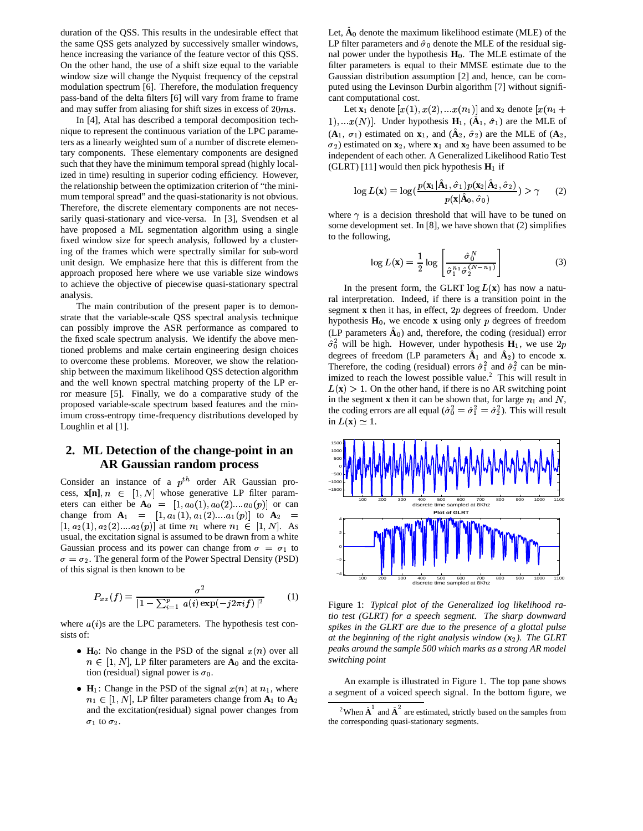duration of the QSS. This results in the undesirable effect that the same QSS gets analyzed by successively smaller windows, hence increasing the variance of the feature vector of this QSS. On the other hand, the use of a shift size equal to the variable window size will change the Nyquist frequency of the cepstral modulation spectrum [6]. Therefore, the modulation frequency pass-band of the delta filters [6] will vary from frame to frame and may suffer from aliasing for shift sizes in excess of  $20ms$ .

In [4], Atal has described a temporal decomposition technique to represent the continuous variation of the LPC parameters as a linearly weighted sum of a number of discrete elementary components. These elementary components are designed such that they have the minimum temporal spread (highly localized in time) resulting in superior coding efficiency. However, the relationship between the optimization criterion of "the minimum temporal spread" and the quasi-stationarity is not obvious. Therefore, the discrete elementary components are not necessarily quasi-stationary and vice-versa. In [3], Svendsen et al have proposed a ML segmentation algorithm using a single fixed window size for speech analysis, followed by a clustering of the frames which were spectrally similar for sub-word unit design. We emphasize here that this is different from the approach proposed here where we use variable size windows to achieve the objective of piecewise quasi-stationary spectral analysis.

The main contribution of the present paper is to demonstrate that the variable-scale QSS spectral analysis technique can possibly improve the ASR performance as compared to the fixed scale spectrum analysis. We identify the above mentioned problems and make certain engineering design choices to overcome these problems. Moreover, we show the relationship between the maximum likelihood QSS detection algorithm and the well known spectral matching property of the LP error measure [5]. Finally, we do a comparative study of the proposed variable-scale spectrum based features and the minimum cross-entropy time-frequency distributions developed by Loughlin et al [1].

# **2. ML Detection of the change-point in an AR Gaussian random process**

Consider an instance of a  $p^{th}$  order AR Gaussian process,  $\mathbf{x}[n], n \in [1, N]$  whose generative LP filter parameters can either be  $A_0 = [1, a_0(1), a_0(2) \dots a_0(p)]$  or can change from  $A_1 = [1, a_1(1), a_1(2) \dots a_1(p)]$  to  $A_2 =$  $[1, a_2(1), a_2(2), \ldots, a_2(p)]$  at time  $n_1$  where  $n_1 \in [1, N]$ . As usual, the excitation signal is assumed to be drawn from a white Gaussian process and its power can change from  $\sigma = \sigma_1$  to  $\sigma = \sigma_2$ . The general form of the Power Spectral Density (PSD) of this signal is then known to be

$$
P_{xx}(f) = \frac{\sigma^2}{|1 - \sum_{i=1}^p a(i) \exp(-j2\pi i f)|^2}
$$
 (1)

where  $a(i)$ s are the LPC parameters. The hypothesis test consists of:

- $H_0$ : No change in the PSD of the signal  $x(n)$  over all  $n \in [1, N]$ , LP filter parameters are  $A_0$  and the excitation (residual) signal power is  $\sigma_0$ .
- $H_1$ : Change in the PSD of the signal  $x(n)$  at  $n_1$ , where  $n_1 \in [1, N]$ , LP filter parameters change from  $A_1$  to  $A_2$ and the excitation(residual) signal power changes from  $\sigma_1$  to  $\sigma_2$ .

Let,  $\hat{A}_0$  denote the maximum likelihood estimate (MLE) of the LP filter parameters and  $\hat{\sigma}_0$  denote the MLE of the residual signal power under the hypothesis  $H_0$ . The MLE estimate of the filter parameters is equal to their MMSE estimate due to the Gaussian distribution assumption [2] and, hence, can be computed using the Levinson Durbin algorithm [7] without significant computational cost.

Let  $\mathbf{x}_1$  denote  $[x(1), x(2), ... x(n_1)]$  and  $\mathbf{x}_2$  denote  $[x(n_1 +$ 1), ...  $x(N)$ . Under hypothesis  $H_1$ ,  $(\hat{A}_1, \hat{\sigma}_1)$  are the MLE of  $(A_1, \sigma_1)$  estimated on  $\mathbf{x}_1$ , and  $(A_2, \hat{\sigma}_2)$  are the MLE of  $(A_2, \sigma_1)$  $\sigma_2$ ) estimated on  $\mathbf{x}_2$ , where  $\mathbf{x}_1$  and  $\mathbf{x}_2$  have been assumed to be independent of each other. A Generalized Likelihood Ratio Test  $(GLRT)$  [11] would then pick hypothesis  $H_1$  if

$$
\log L(\mathbf{x}) = \log(\frac{p(\mathbf{x}_1 | \hat{\mathbf{A}}_1, \hat{\sigma}_1)p(\mathbf{x}_2 | \hat{\mathbf{A}}_2, \hat{\sigma}_2)}{p(\mathbf{x} | \hat{\mathbf{A}}_0, \hat{\sigma}_0)}) > \gamma
$$
 (2)

where  $\gamma$  is a decision threshold that will have to be tuned on some development set. In [8], we have shown that (2) simplifies to the following,

$$
\log L(\mathbf{x}) = \frac{1}{2} \log \left[ \frac{\hat{\sigma}_0^N}{\hat{\sigma}_1^{n_1} \hat{\sigma}_2^{(N-n_1)}} \right]
$$
(3)

In the present form, the GLRT  $\log L(\mathbf{x})$  has now a natural interpretation. Indeed, if there is a transition point in the segment  $x$  then it has, in effect,  $2p$  degrees of freedom. Under hypothesis  $H_0$ , we encode **x** using only p degrees of freedom (LP parameters  $\mathbf{\hat{A}}_0$ ) and, therefore, the coding (residual) error  $\hat{\sigma}_0^2$  will be high. However, under hypothesis  $H_1$ , we use  $2p$ degrees of freedom (LP parameters  $\mathbf{A}_1$  and  $\mathbf{A}_2$ ) to encode **x**. Therefore, the coding (residual) errors  $\hat{\sigma}_1^2$  and  $\hat{\sigma}_2^2$  can be minimized to reach the lowest possible value.<sup>2</sup> This will result in  $L(\mathbf{x}) > 1$ . On the other hand, if there is no AR switching point in the segment **x** then it can be shown that, for large  $n_1$  and N, the coding errors are all equal ( $\hat{\sigma}_0^2 = \hat{\sigma}_1^2 = \hat{\sigma}_2^2$ ). This will result in  $L(\mathbf{x}) \simeq 1$ .



Figure 1: *Typical plot of the Generalized log likelihood ratio test (GLRT) for a speech segment. The sharp downward spikes in the GLRT are due to the presence of a glottal pulse at the beginning of the right analysis window (x ). The GLRT peaks around the sample 500 which marks as a strong AR model switching point*

An example is illustrated in Figure 1. The top pane shows a segment of a voiced speech signal. In the bottom figure, we

<sup>&</sup>lt;sup>2</sup>When  $\hat{A}^{\text{I}}$  and  $\hat{A}^{\text{I}}$  are estimated, strictly based on the samples from the corresponding quasi-stationary segments.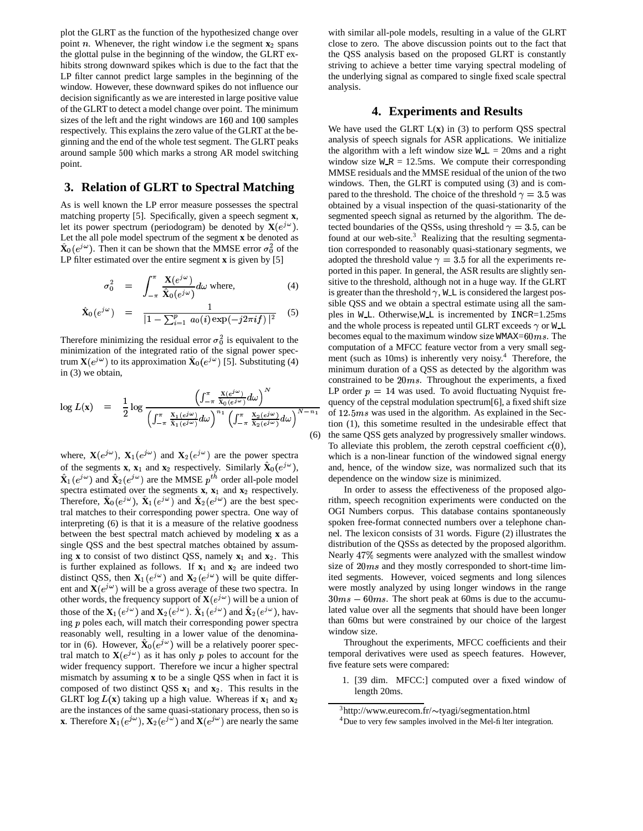plot the GLRT as the function of the hypothesized change over point  $n$ . Whenever, the right window i.e the segment  $\mathbf{x}_2$  spans the glottal pulse in the beginning of the window, the GLRT exhibits strong downward spikes which is due to the fact that the LP filter cannot predict large samples in the beginning of the window. However, these downward spikes do not influence our decision significantly as we are interested in large positive value of the GLRT to detect a model change over point. The minimum sizes of the left and the right windows are  $160$  and  $100$  samples respectively. This explains the zero value of the GLRT at the beginning and the end of the whole test segment. The GLRT peaks around sample 500 which marks a strong AR model switching point.

## **3. Relation of GLRT to Spectral Matching**

As is well known the LP error measure possesses the spectral matching property [5]. Specifically, given a speech segment **x**, let its power spectrum (periodogram) be denoted by  $\mathbf{X}(e^{j\omega})$ . Let the all pole model spectrum of the segment **x** be denoted as  $\mathbf{X}_0(e^{\jmath\omega})$ . Then it can be shown that the MMSE error  $\sigma_0^2$  of the LP filter estimated over the entire segment **x** is given by [5]

$$
\sigma_0^2 = \int_{-\pi}^{\pi} \frac{\mathbf{X}(e^{j\omega})}{\hat{\mathbf{X}}_0(e^{j\omega})} d\omega \text{ where,}
$$
 (4)

$$
\hat{\mathbf{X}}_0(e^{j\omega}) = \frac{1}{|1 - \sum_{i=1}^p a_0(i) \exp(-j2\pi i f)|^2} \quad (5)
$$

Therefore minimizing the residual error  $\sigma_0^2$  is equivalent to the minimization of the integrated ratio of the signal power spectrum  $\mathbf{X}(e^{j\omega})$  to its approximation  $\mathbf{\hat{X}}_0(e^{j\omega})$  [5]. Substituting (4) in (3) we obtain,

$$
\log L(\mathbf{x}) = \frac{1}{2} \log \frac{\left(\int_{-\pi}^{\pi} \frac{\mathbf{X}(\epsilon^{j\omega})}{\hat{\mathbf{X}}_0(\epsilon^{j\omega})} d\omega\right)^N}{\left(\int_{-\pi}^{\pi} \frac{\mathbf{X}_1(\epsilon^{j\omega})}{\hat{\mathbf{X}}_1(\epsilon^{j\omega})} d\omega\right)^{n_1} \left(\int_{-\pi}^{\pi} \frac{\mathbf{X}_2(\epsilon^{j\omega})}{\hat{\mathbf{X}}_2(\epsilon^{j\omega})} d\omega\right)^{N-n_1}}
$$
(6)

where,  $\mathbf{X}(e^{j\omega})$ ,  $\mathbf{X}_1(e^{j\omega})$  and  $\mathbf{X}_2(e^{j\omega})$  are the power spectra of the segments **x**, **x**<sub>1</sub> and **x**<sub>2</sub> respectively. Similarly  $\mathbf{X}_0(e^{j\omega})$ ,  $\hat{\mathbf{X}}_1(e^{j\omega})$  and  $\hat{\mathbf{X}}_2(e^{j\omega})$  are the MMSE  $p^{th}$  order all-pole model spectra estimated over the segments  $\mathbf{x}$ ,  $\mathbf{x}_1$  and  $\mathbf{x}_2$  respectively. Therefore,  $\mathbf{X}_0(e^{j\omega})$ ,  $\mathbf{X}_1(e^{j\omega})$  and  $\mathbf{X}_2(e^{j\omega})$  are the best spectral matches to their corresponding power spectra. One way of interpreting (6) is that it is a measure of the relative goodness between the best spectral match achieved by modeling **x** as a single QSS and the best spectral matches obtained by assuming **x** to consist of two distinct QSS, namely  $\mathbf{x}_1$  and  $\mathbf{x}_2$ . This is further explained as follows. If  $x_1$  and  $x_2$  are indeed two distinct QSS, then  $X_1(e^{j\omega})$  and  $X_2(e^{j\omega})$  will be quite different and  $\mathbf{X}(e^{j\omega})$  will be a gross average of these two spectra. In other words, the frequency support of  $\mathbf{X}(e^{j\omega})$  will be a union of those of the  $\mathbf{X}_1(e^{j\omega})$  and  $\mathbf{X}_2(e^{j\omega})$ .  $\mathbf{X}_1(e^{j\omega})$  and  $\mathbf{X}_2(e^{j\omega})$ , having  $p$  poles each, will match their corresponding power spectra reasonably well, resulting in a lower value of the denominator in (6). However,  $\hat{\mathbf{X}}_0(e^{j\omega})$  will be a relatively poorer spectral match to  $\mathbf{X}(e^{j\omega})$  as it has only p poles to account for the wider frequency support. Therefore we incur a higher spectral mismatch by assuming **x** to be a single QSS when in fact it is composed of two distinct QSS  $x_1$  and  $x_2$ . This results in the GLRT  $\log L(\mathbf{x})$  taking up a high value. Whereas if  $\mathbf{x}_1$  and  $\mathbf{x}_2$ are the instances of the same quasi-stationary process, then so is **x**. Therefore  $\mathbf{X}_1(e^{j\omega})$ ,  $\mathbf{X}_2(e^{j\omega})$  and  $\mathbf{X}(e^{j\omega})$  are nearly the same

with similar all-pole models, resulting in a value of the GLRT close to zero. The above discussion points out to the fact that the QSS analysis based on the proposed GLRT is constantly striving to achieve a better time varying spectral modeling of the underlying signal as compared to single fixed scale spectral analysis.

#### **4. Experiments and Results**

 $\int_0^{\infty} d\omega$  (1), this sometime resulted in the undesirable effect that (6) the same QSS gets analyzed by progressively smaller windows. We have used the GLRT L(**x**) in (3) to perform QSS spectral analysis of speech signals for ASR applications. We initialize the algorithm with a left window size  $W.L = 20ms$  and a right window size  $W = 12.5$ ms. We compute their corresponding MMSE residuals and the MMSE residual of the union of the two windows. Then, the GLRT is computed using (3) and is compared to the threshold. The choice of the threshold  $\gamma = 3.5$  was obtained by a visual inspection of the quasi-stationarity of the segmented speech signal as returned by the algorithm. The detected boundaries of the QSSs, using threshold  $\gamma = 3.5$ , can be found at our web-site. $3$  Realizing that the resulting segmentation corresponded to reasonably quasi-stationary segments, we adopted the threshold value  $\gamma = 3.5$  for all the experiments reported in this paper. In general, the ASR results are slightly sensitive to the threshold, although not in a huge way. If the GLRT is greater than the threshold  $\gamma$ , W L is considered the largest possible QSS and we obtain a spectral estimate using all the samples in W L. Otherwise,W L is incremented by INCR=1.25ms and the whole process is repeated until GLRT exceeds  $\gamma$  or W<sub>L</sub>L becomes equal to the maximum window size  $WMAX=60ms$ . The computation of a MFCC feature vector from a very small segment (such as 10ms) is inherently very noisy. <sup>4</sup> Therefore, the minimum duration of a QSS as detected by the algorithm was constrained to be  $20ms$ . Throughout the experiments, a fixed LP order  $p = 14$  was used. To avoid fluctuating Nyquist frequency of the cepstral modulation spectrum[6], a fixed shift size of  $12.5ms$  was used in the algorithm. As explained in the Sec-To alleviate this problem, the zeroth cepstral coefficient  $c(0)$ , which is a non-linear function of the windowed signal energy and, hence, of the window size, was normalized such that its dependence on the window size is minimized.

In order to assess the effectiveness of the proposed algorithm, speech recognition experiments were conducted on the OGI Numbers corpus. This database contains spontaneously spoken free-format connected numbers over a telephone channel. The lexicon consists of 31 words. Figure (2) illustrates the distribution of the QSSs as detected by the proposed algorithm. Nearly 47% segments were analyzed with the smallest window size of  $20ms$  and they mostly corresponded to short-time limited segments. However, voiced segments and long silences were mostly analyzed by using longer windows in the range  $30ms - 60ms$ . The short peak at 60ms is due to the accumulated value over all the segments that should have been longer than 60ms but were constrained by our choice of the largest window size.

Throughout the experiments, MFCC coefficients and their temporal derivatives were used as speech features. However, five feature sets were compared:

1. [39 dim. MFCC:] computed over a fixed window of length 20ms.

 $3$ http://www.eurecom.fr/ $\sim$ tyagi/segmentation.html

<sup>&</sup>lt;sup>4</sup>Due to very few samples involved in the Mel-filter integration.